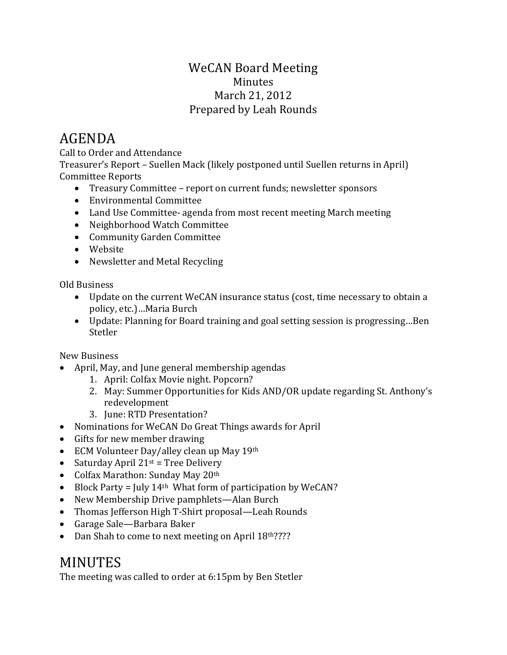## WeCAN Board Meeting Minutes March 21, 2012 Prepared by Leah Rounds

## AGENDA

Call to Order and Attendance

Treasurer's Report – Suellen Mack (likely postponed until Suellen returns in April) Committee Reports

- Treasury Committee report on current funds; newsletter sponsors
- Environmental Committee
- Land Use Committee- agenda from most recent meeting March meeting
- Neighborhood Watch Committee
- Community Garden Committee
- Website
- Newsletter and Metal Recycling

Old Business

- Update on the current WeCAN insurance status (cost, time necessary to obtain a policy, etc.)…Maria Burch
- Update: Planning for Board training and goal setting session is progressing…Ben Stetler

New Business

- April, May, and June general membership agendas
	- 1. April: Colfax Movie night. Popcorn?
	- 2. May: Summer Opportunities for Kids AND/OR update regarding St. Anthony's redevelopment
	- 3. June: RTD Presentation?
- Nominations for WeCAN Do Great Things awards for April
- Gifts for new member drawing
- ECM Volunteer Day/alley clean up May 19th
- Saturday April  $21^{st}$  = Tree Delivery
- Colfax Marathon: Sunday May 20th
- Block Party = July  $14<sup>th</sup>$  What form of participation by WeCAN?
- New Membership Drive pamphlets—Alan Burch
- Thomas Jefferson High T-Shirt proposal—Leah Rounds
- Garage Sale—Barbara Baker
- Dan Shah to come to next meeting on April 18th????

## MINUTES

The meeting was called to order at 6:15pm by Ben Stetler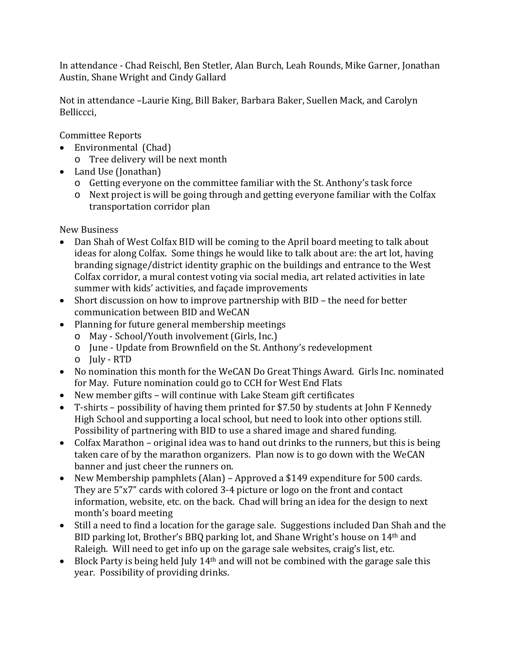In attendance - Chad Reischl, Ben Stetler, Alan Burch, Leah Rounds, Mike Garner, Jonathan Austin, Shane Wright and Cindy Gallard

Not in attendance –Laurie King, Bill Baker, Barbara Baker, Suellen Mack, and Carolyn Belliccci,

Committee Reports

- Environmental (Chad)
	- o Tree delivery will be next month
- Land Use (Jonathan)
	- o Getting everyone on the committee familiar with the St. Anthony's task force
	- o Next project is will be going through and getting everyone familiar with the Colfax transportation corridor plan

New Business

- Dan Shah of West Colfax BID will be coming to the April board meeting to talk about ideas for along Colfax. Some things he would like to talk about are: the art lot, having branding signage/district identity graphic on the buildings and entrance to the West Colfax corridor, a mural contest voting via social media, art related activities in late summer with kids' activities, and façade improvements
- Short discussion on how to improve partnership with BID the need for better communication between BID and WeCAN
- Planning for future general membership meetings
	- o May School/Youth involvement (Girls, Inc.)
	- o June Update from Brownfield on the St. Anthony's redevelopment
	- o July RTD
- No nomination this month for the WeCAN Do Great Things Award. Girls Inc. nominated for May. Future nomination could go to CCH for West End Flats
- New member gifts will continue with Lake Steam gift certificates
- T-shirts possibility of having them printed for \$7.50 by students at John F Kennedy High School and supporting a local school, but need to look into other options still. Possibility of partnering with BID to use a shared image and shared funding.
- Colfax Marathon original idea was to hand out drinks to the runners, but this is being taken care of by the marathon organizers. Plan now is to go down with the WeCAN banner and just cheer the runners on.
- New Membership pamphlets (Alan) Approved a \$149 expenditure for 500 cards. They are 5"x7" cards with colored 3-4 picture or logo on the front and contact information, website, etc. on the back. Chad will bring an idea for the design to next month's board meeting
- Still a need to find a location for the garage sale. Suggestions included Dan Shah and the BID parking lot, Brother's BBQ parking lot, and Shane Wright's house on 14th and Raleigh. Will need to get info up on the garage sale websites, craig's list, etc.
- Block Party is being held July 14<sup>th</sup> and will not be combined with the garage sale this year. Possibility of providing drinks.